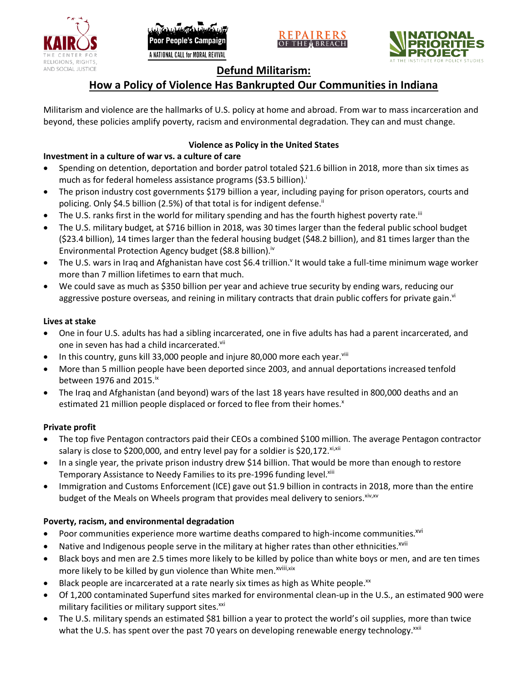





# **Defund Militarism:**

# **How a Policy of Violence Has Bankrupted Our Communities in Indiana**

Militarism and violence are the hallmarks of U.S. policy at home and abroad. From war to mass incarceration and beyond, these policies amplify poverty, racism and environmental degradation. They can and must change.

## **Violence as Policy in the United States**

## **Investment in a culture of war vs. a culture of care**

- Spending on detention, deportation and border patrol totaled \$21.6 billion in 2018, more than six times as much as for federal homeless assistance programs (\$3.5 billion).<sup>i</sup>
- The prison industry cost governments \$179 billion a year, including paying for prison operators, courts and policing. Only \$4.5 billion (2.5%) of that total is for indigent defense.<sup>ii</sup>
- The U.S. ranks first in the world for military spending and has the fourth highest poverty rate.<sup>iii</sup>
- The U.S. military budget, at \$716 billion in 2018, was 30 times larger than the federal public school budget (\$23.4 billion), 14 times larger than the federal housing budget (\$48.2 billion), and 81 times larger than the Environmental Protection Agency budget (\$8.8 billion).<sup>iv</sup>
- The U.S. wars in Iraq and Afghanistan have cost \$6.4 trillion.<sup>v</sup> It would take a full-time minimum wage worker more than 7 million lifetimes to earn that much.
- We could save as much as \$350 billion per year and achieve true security by ending wars, reducing our aggressive posture overseas, and reining in military contracts that drain public coffers for private gain.<sup>vi</sup>

#### **Lives at stake**

- One in four U.S. adults has had a sibling incarcerated, one in five adults has had a parent incarcerated, and one in seven has had a child incarcerated.vii
- In this country, guns kill 33,000 people and injure 80,000 more each year. $v_{\text{lin}}$
- More than 5 million people have been deported since 2003, and annual deportations increased tenfold between 1976 and 2015. $\mathrm{i}$ <sup>x</sup>
- The Iraq and Afghanistan (and beyond) wars of the last 18 years have resulted in 800,000 deaths and an estimated 21 million people displaced or forced to flee from their homes.<sup>x</sup>

#### **Private profit**

- The top five Pentagon contractors paid their CEOs a combined \$100 million. The average Pentagon contractor salary is close to \$200,000, and entry level pay for a soldier is \$20,172. xi,xii
- In a single year, the private prison industry drew \$14 billion. That would be more than enough to restore Temporary Assistance to Needy Families to its pre-1996 funding level.<sup>xiii</sup>
- Immigration and Customs Enforcement (ICE) gave out \$1.9 billion in contracts in 2018, more than the entire budget of the Meals on Wheels program that provides meal delivery to seniors. Xiv, XV

### **Poverty, racism, and environmental degradation**

- Poor communities experience more wartime deaths compared to high-income communities.<sup>xvi</sup>
- Native and Indigenous people serve in the military at higher rates than other ethnicities.<sup>xvii</sup>
- Black boys and men are 2.5 times more likely to be killed by police than white boys or men, and are ten times more likely to be killed by gun violence than White men.<sup>xviii,xix</sup>
- Black people are incarcerated at a rate nearly six times as high as White people.<sup>xx</sup>
- Of 1,200 contaminated Superfund sites marked for environmental clean-up in the U.S., an estimated 900 were military facilities or military support sites.<sup>xxi</sup>
- The U.S. military spends an estimated \$81 billion a year to protect the world's oil supplies, more than twice what the U.S. has spent over the past 70 years on developing renewable energy technology.<sup>xxii</sup>